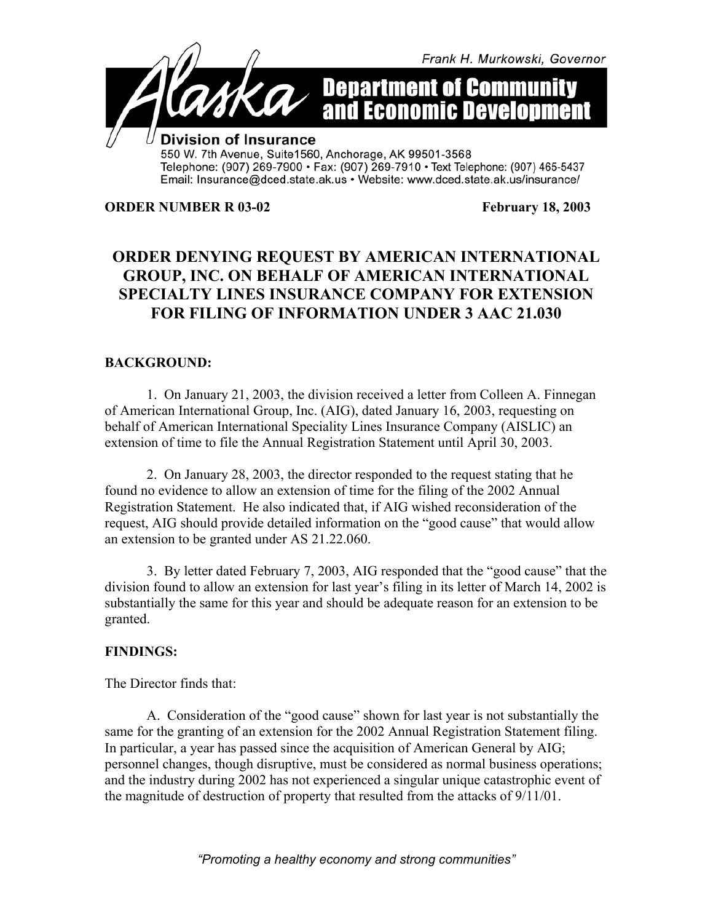

Email: Insurance@dced.state.ak.us • Website: www.dced.state.ak.us/insurance/

**ORDER NUMBER R 03-02** February 18, 2003

## **ORDER DENYING REQUEST BY AMERICAN INTERNATIONAL GROUP, INC. ON BEHALF OF AMERICAN INTERNATIONAL SPECIALTY LINES INSURANCE COMPANY FOR EXTENSION FOR FILING OF INFORMATION UNDER 3 AAC 21.030**

## **BACKGROUND:**

1. On January 21, 2003, the division received a letter from Colleen A. Finnegan of American International Group, Inc. (AIG), dated January 16, 2003, requesting on behalf of American International Speciality Lines Insurance Company (AISLIC) an extension of time to file the Annual Registration Statement until April 30, 2003.

2. On January 28, 2003, the director responded to the request stating that he found no evidence to allow an extension of time for the filing of the 2002 Annual Registration Statement. He also indicated that, if AIG wished reconsideration of the request, AIG should provide detailed information on the "good cause" that would allow an extension to be granted under AS 21.22.060.

3. By letter dated February 7, 2003, AIG responded that the "good cause" that the division found to allow an extension for last year's filing in its letter of March 14, 2002 is substantially the same for this year and should be adequate reason for an extension to be granted.

## **FINDINGS:**

The Director finds that:

A. Consideration of the "good cause" shown for last year is not substantially the same for the granting of an extension for the 2002 Annual Registration Statement filing. In particular, a year has passed since the acquisition of American General by AIG; personnel changes, though disruptive, must be considered as normal business operations; and the industry during 2002 has not experienced a singular unique catastrophic event of the magnitude of destruction of property that resulted from the attacks of 9/11/01.